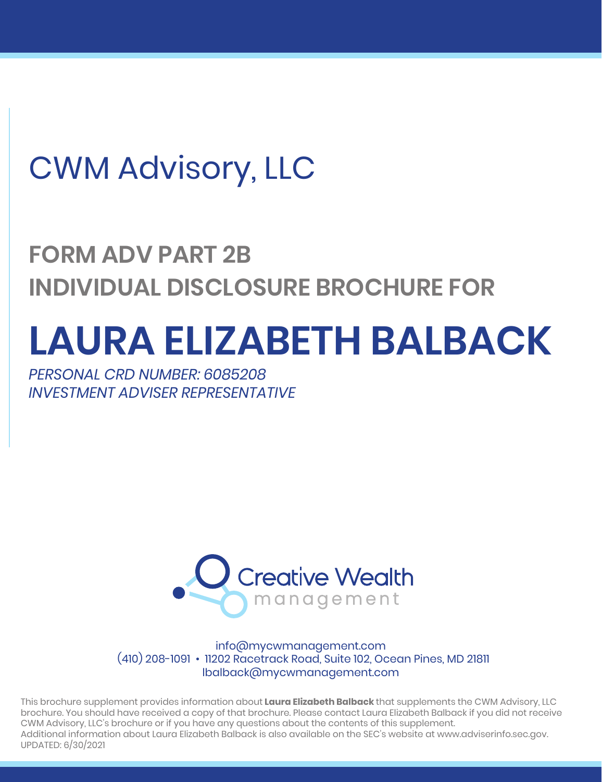## CWM Advisory, LLC

## **FORM ADV PART 2B INDIVIDUAL DISCLOSURE BROCHURE FOR**

# **LAURA ELIZABETH BALBACK**

*PERSONAL CRD NUMBER: 6085208 INVESTMENT ADVISER REPRESENTATIVE*



info@mycwmanagement.com (410) 208-1091 • 11202 Racetrack Road, Suite 102, Ocean Pines, MD 21811 lbalback@mycwmanagement.com

This brochure supplement provides information about **Laura Elizabeth Balback** that supplements the CWM Advisory, LLC brochure. You should have received a copy of that brochure. Please contact Laura Elizabeth Balback if you did not receive CWM Advisory, LLC's brochure or if you have any questions about the contents of this supplement. Additional information about Laura Elizabeth Balback is also available on the SEC's website at www.adviserinfo.sec.gov. UPDATED: 6/30/2021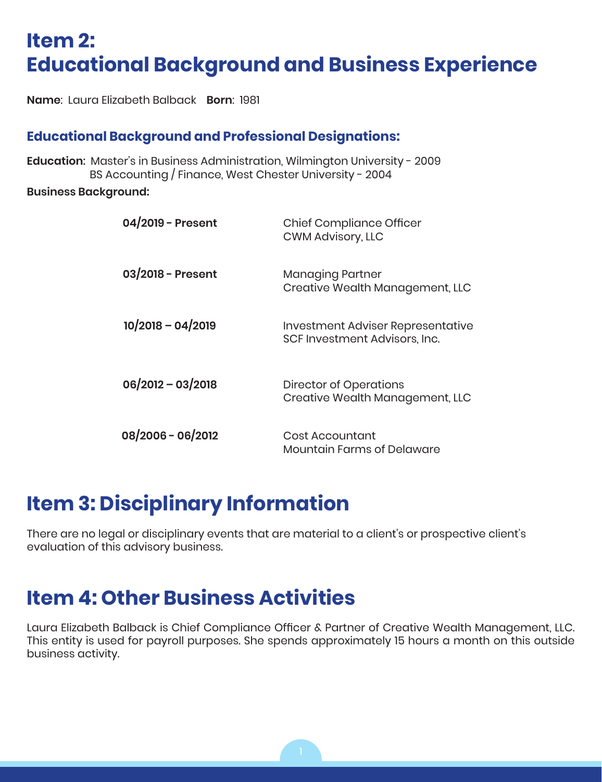### **Item 2: Educational Background and Business Experience**

**Name**: Laura Elizabeth Balback **Born**: 1981

#### **Educational Background and Professional Designations:**

**Education**: Master's in Business Administration, Wilmington University - 2009 BS Accounting / Finance, West Chester University - 2004

**Business Background:**

| 04/2019 - Present   | <b>Chief Compliance Officer</b><br><b>CWM Advisory, LLC</b>        |
|---------------------|--------------------------------------------------------------------|
| 03/2018 - Present   | <b>Managing Partner</b><br>Creative Wealth Management, LLC         |
| $10/2018 - 04/2019$ | Investment Adviser Representative<br>SCF Investment Advisors, Inc. |
| $06/2012 - 03/2018$ | <b>Director of Operations</b><br>Creative Wealth Management, LLC   |
| 08/2006 - 06/2012   | Cost Accountant<br>Mountain Farms of Delaware                      |

#### **Item 3: Disciplinary Information**

There are no legal or disciplinary events that are material to a client's or prospective client's evaluation of this advisory business.

#### **Item 4: Other Business Activities**

Laura Elizabeth Balback is Chief Compliance Officer & Partner of Creative Wealth Management, LLC. This entity is used for payroll purposes. She spends approximately 15 hours a month on this outside business activity.